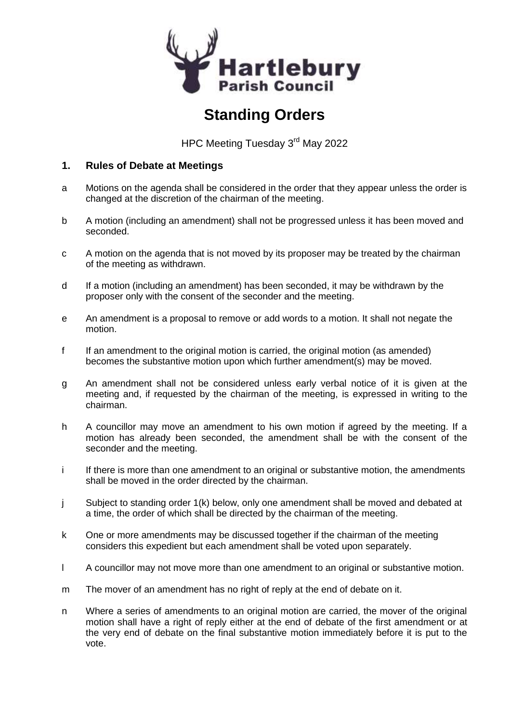

# **Standing Orders**

HPC Meeting Tuesday 3<sup>rd</sup> May 2022

## **1. Rules of Debate at Meetings**

- a Motions on the agenda shall be considered in the order that they appear unless the order is changed at the discretion of the chairman of the meeting.
- b A motion (including an amendment) shall not be progressed unless it has been moved and seconded.
- c A motion on the agenda that is not moved by its proposer may be treated by the chairman of the meeting as withdrawn.
- d If a motion (including an amendment) has been seconded, it may be withdrawn by the proposer only with the consent of the seconder and the meeting.
- e An amendment is a proposal to remove or add words to a motion. It shall not negate the motion.
- f If an amendment to the original motion is carried, the original motion (as amended) becomes the substantive motion upon which further amendment(s) may be moved.
- g An amendment shall not be considered unless early verbal notice of it is given at the meeting and, if requested by the chairman of the meeting, is expressed in writing to the chairman.
- h A councillor may move an amendment to his own motion if agreed by the meeting. If a motion has already been seconded, the amendment shall be with the consent of the seconder and the meeting.
- i If there is more than one amendment to an original or substantive motion, the amendments shall be moved in the order directed by the chairman.
- j Subject to standing order 1(k) below, only one amendment shall be moved and debated at a time, the order of which shall be directed by the chairman of the meeting.
- k One or more amendments may be discussed together if the chairman of the meeting considers this expedient but each amendment shall be voted upon separately.
- l A councillor may not move more than one amendment to an original or substantive motion.
- m The mover of an amendment has no right of reply at the end of debate on it.
- n Where a series of amendments to an original motion are carried, the mover of the original motion shall have a right of reply either at the end of debate of the first amendment or at the very end of debate on the final substantive motion immediately before it is put to the vote.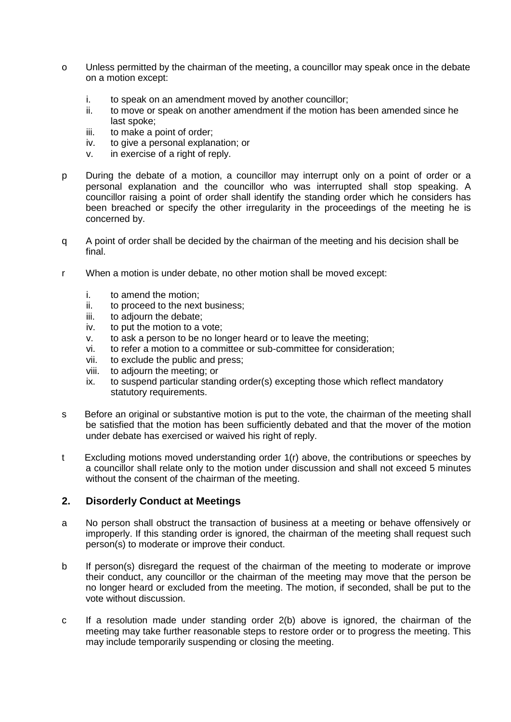- o Unless permitted by the chairman of the meeting, a councillor may speak once in the debate on a motion except:
	- i. to speak on an amendment moved by another councillor;
	- ii. to move or speak on another amendment if the motion has been amended since he last spoke;
	- iii. to make a point of order;
	- iv. to give a personal explanation; or
	- v. in exercise of a right of reply.
- p During the debate of a motion, a councillor may interrupt only on a point of order or a personal explanation and the councillor who was interrupted shall stop speaking. A councillor raising a point of order shall identify the standing order which he considers has been breached or specify the other irregularity in the proceedings of the meeting he is concerned by.
- q A point of order shall be decided by the chairman of the meeting and his decision shall be final.
- r When a motion is under debate, no other motion shall be moved except:
	- i. to amend the motion;
	- ii. to proceed to the next business;
	- iii. to adjourn the debate;
	- iv. to put the motion to a vote;
	- v. to ask a person to be no longer heard or to leave the meeting;
	- vi. to refer a motion to a committee or sub-committee for consideration;
	- vii. to exclude the public and press;
	- viii. to adjourn the meeting; or
	- ix. to suspend particular standing order(s) excepting those which reflect mandatory statutory requirements.
- s Before an original or substantive motion is put to the vote, the chairman of the meeting shall be satisfied that the motion has been sufficiently debated and that the mover of the motion under debate has exercised or waived his right of reply.
- t Excluding motions moved understanding order 1(r) above, the contributions or speeches by a councillor shall relate only to the motion under discussion and shall not exceed 5 minutes without the consent of the chairman of the meeting.

#### **2. Disorderly Conduct at Meetings**

- a No person shall obstruct the transaction of business at a meeting or behave offensively or improperly. If this standing order is ignored, the chairman of the meeting shall request such person(s) to moderate or improve their conduct.
- b If person(s) disregard the request of the chairman of the meeting to moderate or improve their conduct, any councillor or the chairman of the meeting may move that the person be no longer heard or excluded from the meeting. The motion, if seconded, shall be put to the vote without discussion.
- c If a resolution made under standing order 2(b) above is ignored, the chairman of the meeting may take further reasonable steps to restore order or to progress the meeting. This may include temporarily suspending or closing the meeting.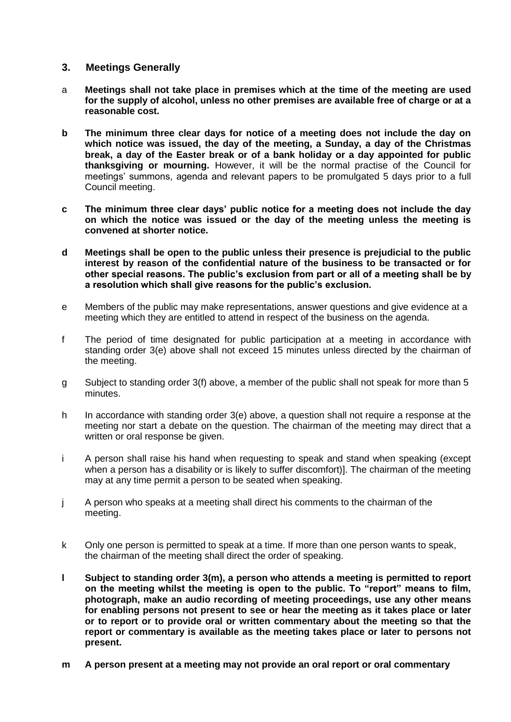#### **3. Meetings Generally**

- a **Meetings shall not take place in premises which at the time of the meeting are used for the supply of alcohol, unless no other premises are available free of charge or at a reasonable cost.**
- **b The minimum three clear days for notice of a meeting does not include the day on which notice was issued, the day of the meeting, a Sunday, a day of the Christmas break, a day of the Easter break or of a bank holiday or a day appointed for public thanksgiving or mourning.** However, it will be the normal practise of the Council for meetings' summons, agenda and relevant papers to be promulgated 5 days prior to a full Council meeting.
- **c The minimum three clear days' public notice for a meeting does not include the day on which the notice was issued or the day of the meeting unless the meeting is convened at shorter notice.**
- **d Meetings shall be open to the public unless their presence is prejudicial to the public interest by reason of the confidential nature of the business to be transacted or for other special reasons. The public's exclusion from part or all of a meeting shall be by a resolution which shall give reasons for the public's exclusion.**
- e Members of the public may make representations, answer questions and give evidence at a meeting which they are entitled to attend in respect of the business on the agenda.
- f The period of time designated for public participation at a meeting in accordance with standing order 3(e) above shall not exceed 15 minutes unless directed by the chairman of the meeting.
- g Subject to standing order 3(f) above, a member of the public shall not speak for more than 5 minutes.
- h In accordance with standing order 3(e) above, a question shall not require a response at the meeting nor start a debate on the question. The chairman of the meeting may direct that a written or oral response be given.
- i A person shall raise his hand when requesting to speak and stand when speaking (except when a person has a disability or is likely to suffer discomfort)]. The chairman of the meeting may at any time permit a person to be seated when speaking.
- j A person who speaks at a meeting shall direct his comments to the chairman of the meeting.
- k Only one person is permitted to speak at a time. If more than one person wants to speak, the chairman of the meeting shall direct the order of speaking.
- **l Subject to standing order 3(m), a person who attends a meeting is permitted to report on the meeting whilst the meeting is open to the public. To "report" means to film, photograph, make an audio recording of meeting proceedings, use any other means for enabling persons not present to see or hear the meeting as it takes place or later or to report or to provide oral or written commentary about the meeting so that the report or commentary is available as the meeting takes place or later to persons not present.**
- **m A person present at a meeting may not provide an oral report or oral commentary**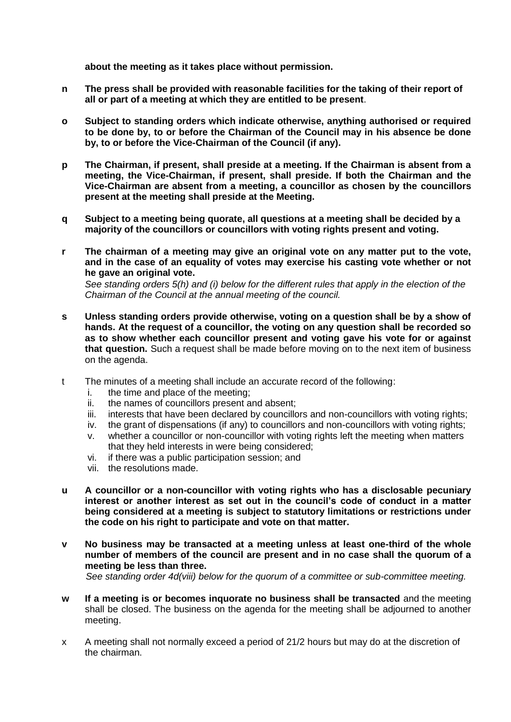**about the meeting as it takes place without permission.**

- **n The press shall be provided with reasonable facilities for the taking of their report of all or part of a meeting at which they are entitled to be present**.
- **o Subject to standing orders which indicate otherwise, anything authorised or required to be done by, to or before the Chairman of the Council may in his absence be done by, to or before the Vice-Chairman of the Council (if any).**
- **p The Chairman, if present, shall preside at a meeting. If the Chairman is absent from a meeting, the Vice-Chairman, if present, shall preside. If both the Chairman and the Vice-Chairman are absent from a meeting, a councillor as chosen by the councillors present at the meeting shall preside at the Meeting.**
- **q Subject to a meeting being quorate, all questions at a meeting shall be decided by a majority of the councillors or councillors with voting rights present and voting.**
- **r The chairman of a meeting may give an original vote on any matter put to the vote, and in the case of an equality of votes may exercise his casting vote whether or not he gave an original vote.**

*See standing orders 5(h) and (i) below for the different rules that apply in the election of the Chairman of the Council at the annual meeting of the council.*

- **s Unless standing orders provide otherwise, voting on a question shall be by a show of hands. At the request of a councillor, the voting on any question shall be recorded so as to show whether each councillor present and voting gave his vote for or against that question.** Such a request shall be made before moving on to the next item of business on the agenda.
- t The minutes of a meeting shall include an accurate record of the following:
	- i. the time and place of the meeting;
	- ii. the names of councillors present and absent;
	- iii. interests that have been declared by councillors and non-councillors with voting rights;
	- iv. the grant of dispensations (if any) to councillors and non-councillors with voting rights;
	- v. whether a councillor or non-councillor with voting rights left the meeting when matters that they held interests in were being considered;
	- vi. if there was a public participation session; and
	- vii. the resolutions made.
- **u A councillor or a non-councillor with voting rights who has a disclosable pecuniary interest or another interest as set out in the council's code of conduct in a matter being considered at a meeting is subject to statutory limitations or restrictions under the code on his right to participate and vote on that matter.**
- **v No business may be transacted at a meeting unless at least one-third of the whole number of members of the council are present and in no case shall the quorum of a meeting be less than three.** *See standing order 4d(viii) below for the quorum of a committee or sub-committee meeting.*
- **w If a meeting is or becomes inquorate no business shall be transacted** and the meeting shall be closed. The business on the agenda for the meeting shall be adjourned to another meeting.
- x A meeting shall not normally exceed a period of 21/2 hours but may do at the discretion of the chairman.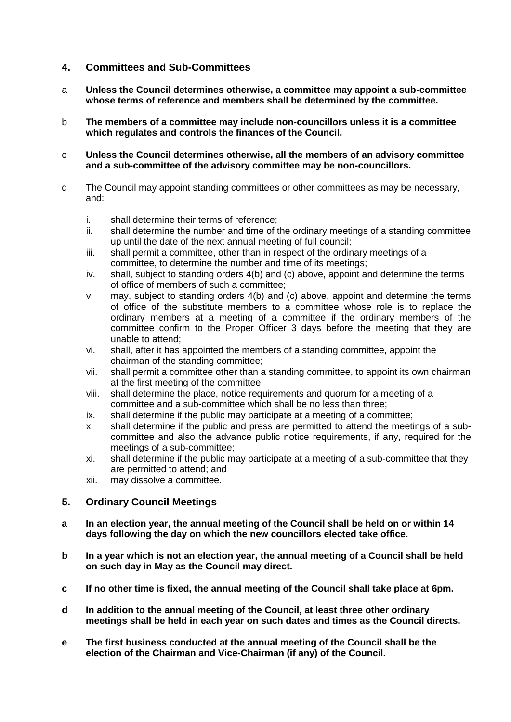## **4. Committees and Sub-Committees**

- a **Unless the Council determines otherwise, a committee may appoint a sub-committee whose terms of reference and members shall be determined by the committee.**
- b **The members of a committee may include non-councillors unless it is a committee which regulates and controls the finances of the Council.**
- c **Unless the Council determines otherwise, all the members of an advisory committee and a sub-committee of the advisory committee may be non-councillors.**
- d The Council may appoint standing committees or other committees as may be necessary, and:
	- i. shall determine their terms of reference;
	- ii. shall determine the number and time of the ordinary meetings of a standing committee up until the date of the next annual meeting of full council;
	- iii. shall permit a committee, other than in respect of the ordinary meetings of a committee, to determine the number and time of its meetings;
	- iv. shall, subject to standing orders 4(b) and (c) above, appoint and determine the terms of office of members of such a committee;
	- v. may, subject to standing orders 4(b) and (c) above, appoint and determine the terms of office of the substitute members to a committee whose role is to replace the ordinary members at a meeting of a committee if the ordinary members of the committee confirm to the Proper Officer 3 days before the meeting that they are unable to attend;
	- vi. shall, after it has appointed the members of a standing committee, appoint the chairman of the standing committee;
	- vii. shall permit a committee other than a standing committee, to appoint its own chairman at the first meeting of the committee;
	- viii. shall determine the place, notice requirements and quorum for a meeting of a committee and a sub-committee which shall be no less than three;
	- ix. shall determine if the public may participate at a meeting of a committee;
	- x. shall determine if the public and press are permitted to attend the meetings of a subcommittee and also the advance public notice requirements, if any, required for the meetings of a sub-committee;
	- xi. shall determine if the public may participate at a meeting of a sub-committee that they are permitted to attend; and
	- xii. may dissolve a committee.

## **5. Ordinary Council Meetings**

- **a In an election year, the annual meeting of the Council shall be held on or within 14 days following the day on which the new councillors elected take office.**
- **b In a year which is not an election year, the annual meeting of a Council shall be held on such day in May as the Council may direct.**
- **c If no other time is fixed, the annual meeting of the Council shall take place at 6pm.**
- **d In addition to the annual meeting of the Council, at least three other ordinary meetings shall be held in each year on such dates and times as the Council directs.**
- **e The first business conducted at the annual meeting of the Council shall be the election of the Chairman and Vice-Chairman (if any) of the Council.**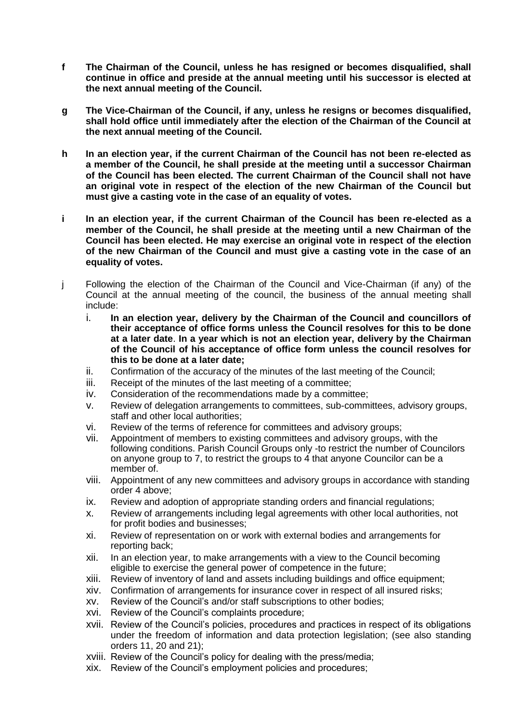- **f The Chairman of the Council, unless he has resigned or becomes disqualified, shall continue in office and preside at the annual meeting until his successor is elected at the next annual meeting of the Council.**
- **g The Vice-Chairman of the Council, if any, unless he resigns or becomes disqualified, shall hold office until immediately after the election of the Chairman of the Council at the next annual meeting of the Council.**
- **h In an election year, if the current Chairman of the Council has not been re-elected as a member of the Council, he shall preside at the meeting until a successor Chairman of the Council has been elected. The current Chairman of the Council shall not have an original vote in respect of the election of the new Chairman of the Council but must give a casting vote in the case of an equality of votes.**
- **i In an election year, if the current Chairman of the Council has been re-elected as a member of the Council, he shall preside at the meeting until a new Chairman of the Council has been elected. He may exercise an original vote in respect of the election of the new Chairman of the Council and must give a casting vote in the case of an equality of votes.**
- j Following the election of the Chairman of the Council and Vice-Chairman (if any) of the Council at the annual meeting of the council, the business of the annual meeting shall include:
	- i. **In an election year, delivery by the Chairman of the Council and councillors of their acceptance of office forms unless the Council resolves for this to be done at a later date**. **In a year which is not an election year, delivery by the Chairman of the Council of his acceptance of office form unless the council resolves for this to be done at a later date;**
	- ii. Confirmation of the accuracy of the minutes of the last meeting of the Council;
	- iii. Receipt of the minutes of the last meeting of a committee;
	- iv. Consideration of the recommendations made by a committee;
	- v. Review of delegation arrangements to committees, sub-committees, advisory groups, staff and other local authorities;
	- vi. Review of the terms of reference for committees and advisory groups;
	- vii. Appointment of members to existing committees and advisory groups, with the following conditions. Parish Council Groups only -to restrict the number of Councilors on anyone group to 7, to restrict the groups to 4 that anyone Councilor can be a member of.
	- viii. Appointment of any new committees and advisory groups in accordance with standing order 4 above;
	- ix. Review and adoption of appropriate standing orders and financial regulations;
	- x. Review of arrangements including legal agreements with other local authorities, not for profit bodies and businesses;
	- xi. Review of representation on or work with external bodies and arrangements for reporting back;
	- xii. In an election year, to make arrangements with a view to the Council becoming eligible to exercise the general power of competence in the future;
	- xiii. Review of inventory of land and assets including buildings and office equipment;
	- xiv. Confirmation of arrangements for insurance cover in respect of all insured risks;
	- xv. Review of the Council's and/or staff subscriptions to other bodies;
	- xvi. Review of the Council's complaints procedure;
	- xvii. Review of the Council's policies, procedures and practices in respect of its obligations under the freedom of information and data protection legislation; (see also standing orders 11, 20 and 21);
	- xviii. Review of the Council's policy for dealing with the press/media;
	- xix. Review of the Council's employment policies and procedures;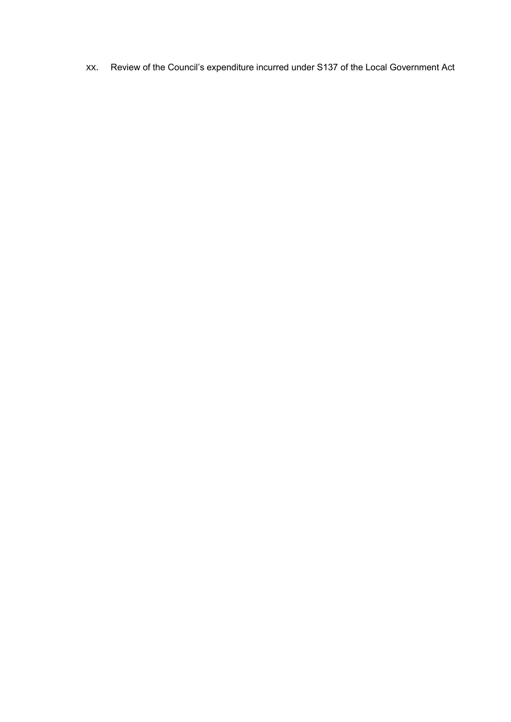xx. Review of the Council's expenditure incurred under S137 of the Local Government Act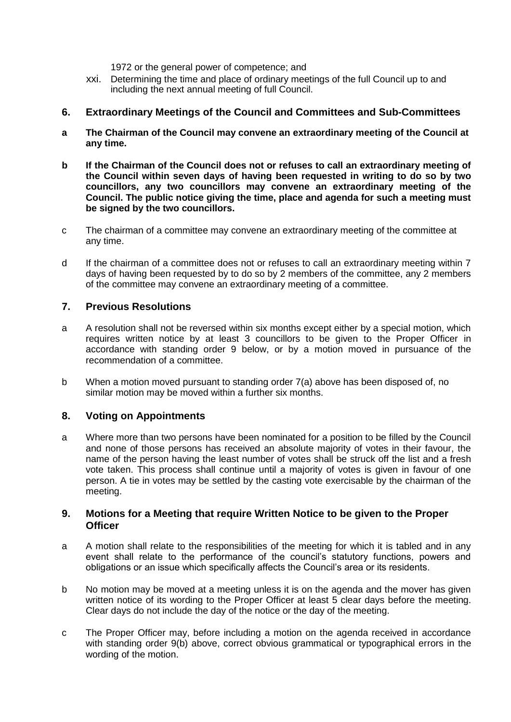1972 or the general power of competence; and

xxi. Determining the time and place of ordinary meetings of the full Council up to and including the next annual meeting of full Council.

## **6. Extraordinary Meetings of the Council and Committees and Sub-Committees**

- **a The Chairman of the Council may convene an extraordinary meeting of the Council at any time.**
- **b If the Chairman of the Council does not or refuses to call an extraordinary meeting of the Council within seven days of having been requested in writing to do so by two councillors, any two councillors may convene an extraordinary meeting of the Council. The public notice giving the time, place and agenda for such a meeting must be signed by the two councillors.**
- c The chairman of a committee may convene an extraordinary meeting of the committee at any time.
- d If the chairman of a committee does not or refuses to call an extraordinary meeting within 7 days of having been requested by to do so by 2 members of the committee, any 2 members of the committee may convene an extraordinary meeting of a committee.

## **7. Previous Resolutions**

- a A resolution shall not be reversed within six months except either by a special motion, which requires written notice by at least 3 councillors to be given to the Proper Officer in accordance with standing order 9 below, or by a motion moved in pursuance of the recommendation of a committee.
- b When a motion moved pursuant to standing order 7(a) above has been disposed of, no similar motion may be moved within a further six months.

## **8. Voting on Appointments**

a Where more than two persons have been nominated for a position to be filled by the Council and none of those persons has received an absolute majority of votes in their favour, the name of the person having the least number of votes shall be struck off the list and a fresh vote taken. This process shall continue until a majority of votes is given in favour of one person. A tie in votes may be settled by the casting vote exercisable by the chairman of the meeting.

#### **9. Motions for a Meeting that require Written Notice to be given to the Proper Officer**

- a A motion shall relate to the responsibilities of the meeting for which it is tabled and in any event shall relate to the performance of the council's statutory functions, powers and obligations or an issue which specifically affects the Council's area or its residents.
- b No motion may be moved at a meeting unless it is on the agenda and the mover has given written notice of its wording to the Proper Officer at least 5 clear days before the meeting. Clear days do not include the day of the notice or the day of the meeting.
- c The Proper Officer may, before including a motion on the agenda received in accordance with standing order 9(b) above, correct obvious grammatical or typographical errors in the wording of the motion.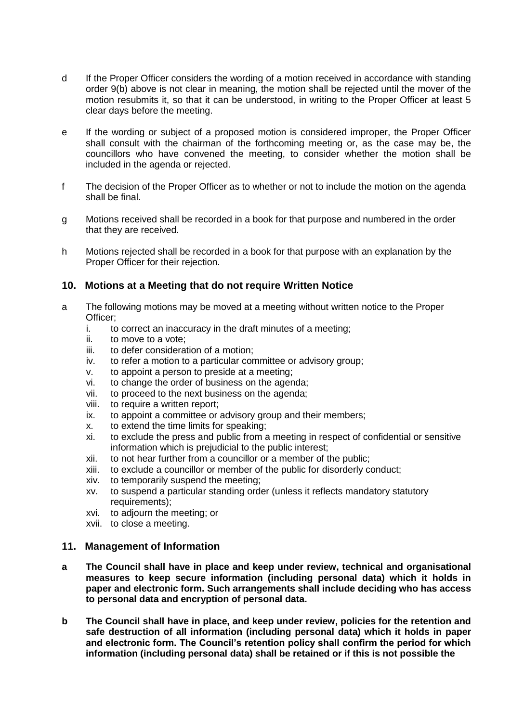- d If the Proper Officer considers the wording of a motion received in accordance with standing order 9(b) above is not clear in meaning, the motion shall be rejected until the mover of the motion resubmits it, so that it can be understood, in writing to the Proper Officer at least 5 clear days before the meeting.
- e If the wording or subject of a proposed motion is considered improper, the Proper Officer shall consult with the chairman of the forthcoming meeting or, as the case may be, the councillors who have convened the meeting, to consider whether the motion shall be included in the agenda or rejected.
- f The decision of the Proper Officer as to whether or not to include the motion on the agenda shall be final.
- g Motions received shall be recorded in a book for that purpose and numbered in the order that they are received.
- h Motions rejected shall be recorded in a book for that purpose with an explanation by the Proper Officer for their rejection.

## **10. Motions at a Meeting that do not require Written Notice**

- a The following motions may be moved at a meeting without written notice to the Proper Officer;
	- i. to correct an inaccuracy in the draft minutes of a meeting;
	- ii. to move to a vote;
	- iii. to defer consideration of a motion;
	- iv. to refer a motion to a particular committee or advisory group;
	- v. to appoint a person to preside at a meeting;
	- vi. to change the order of business on the agenda;
	- vii. to proceed to the next business on the agenda;
	- viii. to require a written report;
	- ix. to appoint a committee or advisory group and their members;
	- x. to extend the time limits for speaking;
	- xi. to exclude the press and public from a meeting in respect of confidential or sensitive information which is prejudicial to the public interest;
	- xii. to not hear further from a councillor or a member of the public;
	- xiii. to exclude a councillor or member of the public for disorderly conduct;
	- xiv. to temporarily suspend the meeting;
	- xv. to suspend a particular standing order (unless it reflects mandatory statutory requirements);
	- xvi. to adjourn the meeting; or
	- xvii. to close a meeting.

#### **11. Management of Information**

- **a The Council shall have in place and keep under review, technical and organisational measures to keep secure information (including personal data) which it holds in paper and electronic form. Such arrangements shall include deciding who has access to personal data and encryption of personal data.**
- **b The Council shall have in place, and keep under review, policies for the retention and safe destruction of all information (including personal data) which it holds in paper and electronic form. The Council's retention policy shall confirm the period for which information (including personal data) shall be retained or if this is not possible the**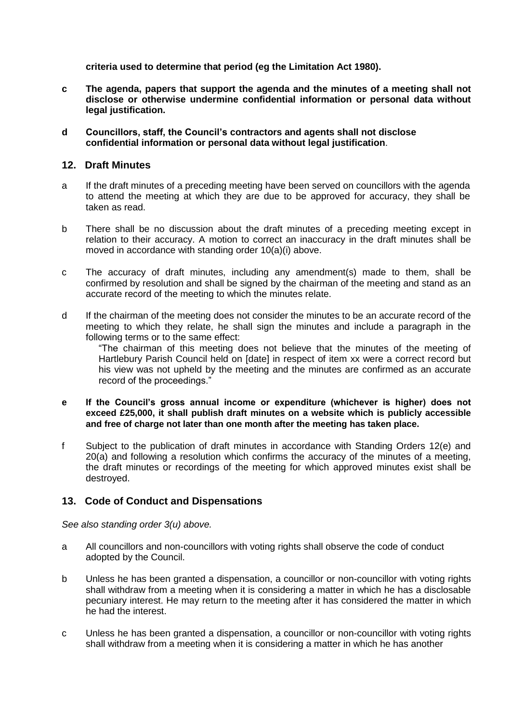**criteria used to determine that period (eg the Limitation Act 1980).**

- **c The agenda, papers that support the agenda and the minutes of a meeting shall not disclose or otherwise undermine confidential information or personal data without legal justification.**
- **d Councillors, staff, the Council's contractors and agents shall not disclose confidential information or personal data without legal justification**.

#### **12. Draft Minutes**

- a If the draft minutes of a preceding meeting have been served on councillors with the agenda to attend the meeting at which they are due to be approved for accuracy, they shall be taken as read.
- b There shall be no discussion about the draft minutes of a preceding meeting except in relation to their accuracy. A motion to correct an inaccuracy in the draft minutes shall be moved in accordance with standing order 10(a)(i) above.
- c The accuracy of draft minutes, including any amendment(s) made to them, shall be confirmed by resolution and shall be signed by the chairman of the meeting and stand as an accurate record of the meeting to which the minutes relate.
- d If the chairman of the meeting does not consider the minutes to be an accurate record of the meeting to which they relate, he shall sign the minutes and include a paragraph in the following terms or to the same effect:

"The chairman of this meeting does not believe that the minutes of the meeting of Hartlebury Parish Council held on [date] in respect of item xx were a correct record but his view was not upheld by the meeting and the minutes are confirmed as an accurate record of the proceedings."

- **e If the Council's gross annual income or expenditure (whichever is higher) does not exceed £25,000, it shall publish draft minutes on a website which is publicly accessible and free of charge not later than one month after the meeting has taken place.**
- f Subject to the publication of draft minutes in accordance with Standing Orders 12(e) and 20(a) and following a resolution which confirms the accuracy of the minutes of a meeting, the draft minutes or recordings of the meeting for which approved minutes exist shall be destroyed.

#### **13. Code of Conduct and Dispensations**

*See also standing order 3(u) above.*

- a All councillors and non-councillors with voting rights shall observe the code of conduct adopted by the Council.
- b Unless he has been granted a dispensation, a councillor or non-councillor with voting rights shall withdraw from a meeting when it is considering a matter in which he has a disclosable pecuniary interest. He may return to the meeting after it has considered the matter in which he had the interest.
- c Unless he has been granted a dispensation, a councillor or non-councillor with voting rights shall withdraw from a meeting when it is considering a matter in which he has another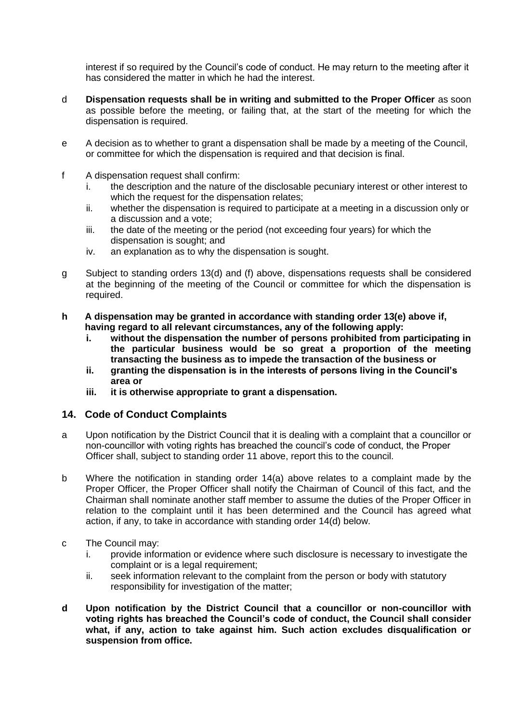interest if so required by the Council's code of conduct. He may return to the meeting after it has considered the matter in which he had the interest.

- d **Dispensation requests shall be in writing and submitted to the Proper Officer** as soon as possible before the meeting, or failing that, at the start of the meeting for which the dispensation is required.
- e A decision as to whether to grant a dispensation shall be made by a meeting of the Council, or committee for which the dispensation is required and that decision is final.
- f A dispensation request shall confirm:
	- i. the description and the nature of the disclosable pecuniary interest or other interest to which the request for the dispensation relates;
	- ii. whether the dispensation is required to participate at a meeting in a discussion only or a discussion and a vote;
	- iii. the date of the meeting or the period (not exceeding four years) for which the dispensation is sought; and
	- iv. an explanation as to why the dispensation is sought.
- g Subject to standing orders 13(d) and (f) above, dispensations requests shall be considered at the beginning of the meeting of the Council or committee for which the dispensation is required.
- **h A dispensation may be granted in accordance with standing order 13(e) above if, having regard to all relevant circumstances, any of the following apply:**
	- **i. without the dispensation the number of persons prohibited from participating in the particular business would be so great a proportion of the meeting transacting the business as to impede the transaction of the business or**
	- **ii. granting the dispensation is in the interests of persons living in the Council's area or**
	- **iii. it is otherwise appropriate to grant a dispensation.**

#### **14. Code of Conduct Complaints**

- a Upon notification by the District Council that it is dealing with a complaint that a councillor or non-councillor with voting rights has breached the council's code of conduct, the Proper Officer shall, subject to standing order 11 above, report this to the council.
- b Where the notification in standing order 14(a) above relates to a complaint made by the Proper Officer, the Proper Officer shall notify the Chairman of Council of this fact, and the Chairman shall nominate another staff member to assume the duties of the Proper Officer in relation to the complaint until it has been determined and the Council has agreed what action, if any, to take in accordance with standing order 14(d) below.
- c The Council may:
	- i. provide information or evidence where such disclosure is necessary to investigate the complaint or is a legal requirement;
	- ii. seek information relevant to the complaint from the person or body with statutory responsibility for investigation of the matter;
- **d Upon notification by the District Council that a councillor or non-councillor with voting rights has breached the Council's code of conduct, the Council shall consider what, if any, action to take against him. Such action excludes disqualification or suspension from office.**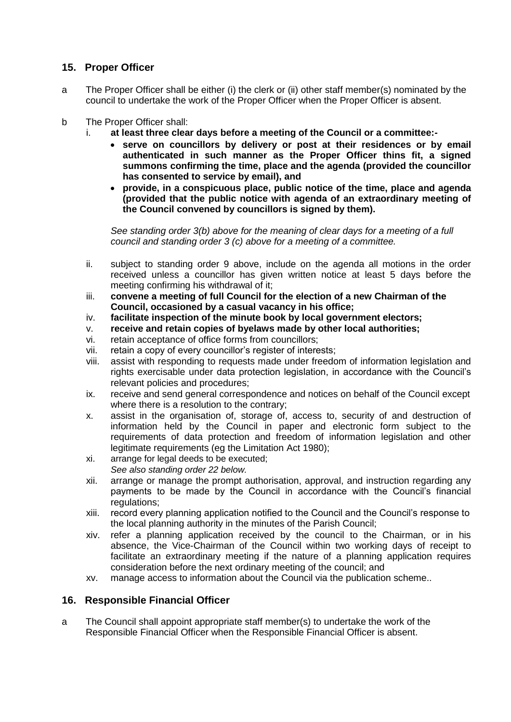# **15. Proper Officer**

- a The Proper Officer shall be either (i) the clerk or (ii) other staff member(s) nominated by the council to undertake the work of the Proper Officer when the Proper Officer is absent.
- b The Proper Officer shall:
	- i. **at least three clear days before a meeting of the Council or a committee:**
		- **serve on councillors by delivery or post at their residences or by email authenticated in such manner as the Proper Officer thins fit, a signed summons confirming the time, place and the agenda (provided the councillor has consented to service by email), and**
		- **provide, in a conspicuous place, public notice of the time, place and agenda (provided that the public notice with agenda of an extraordinary meeting of the Council convened by councillors is signed by them).**

*See standing order 3(b) above for the meaning of clear days for a meeting of a full council and standing order 3 (c) above for a meeting of a committee.*

- ii. subject to standing order 9 above, include on the agenda all motions in the order received unless a councillor has given written notice at least 5 days before the meeting confirming his withdrawal of it;
- iii. **convene a meeting of full Council for the election of a new Chairman of the Council, occasioned by a casual vacancy in his office;**
- iv. **facilitate inspection of the minute book by local government electors;**
- v. **receive and retain copies of byelaws made by other local authorities;**
- vi. retain acceptance of office forms from councillors;
- vii. retain a copy of every councillor's register of interests;
- viii. assist with responding to requests made under freedom of information legislation and rights exercisable under data protection legislation, in accordance with the Council's relevant policies and procedures;
- ix. receive and send general correspondence and notices on behalf of the Council except where there is a resolution to the contrary;
- x. assist in the organisation of, storage of, access to, security of and destruction of information held by the Council in paper and electronic form subject to the requirements of data protection and freedom of information legislation and other legitimate requirements (eg the Limitation Act 1980);
- xi. arrange for legal deeds to be executed; *See also standing order 22 below.*
- xii. arrange or manage the prompt authorisation, approval, and instruction regarding any payments to be made by the Council in accordance with the Council's financial regulations;
- xiii. record every planning application notified to the Council and the Council's response to the local planning authority in the minutes of the Parish Council;
- xiv. refer a planning application received by the council to the Chairman, or in his absence, the Vice-Chairman of the Council within two working days of receipt to facilitate an extraordinary meeting if the nature of a planning application requires consideration before the next ordinary meeting of the council; and
- xv. manage access to information about the Council via the publication scheme..

## **16. Responsible Financial Officer**

a The Council shall appoint appropriate staff member(s) to undertake the work of the Responsible Financial Officer when the Responsible Financial Officer is absent.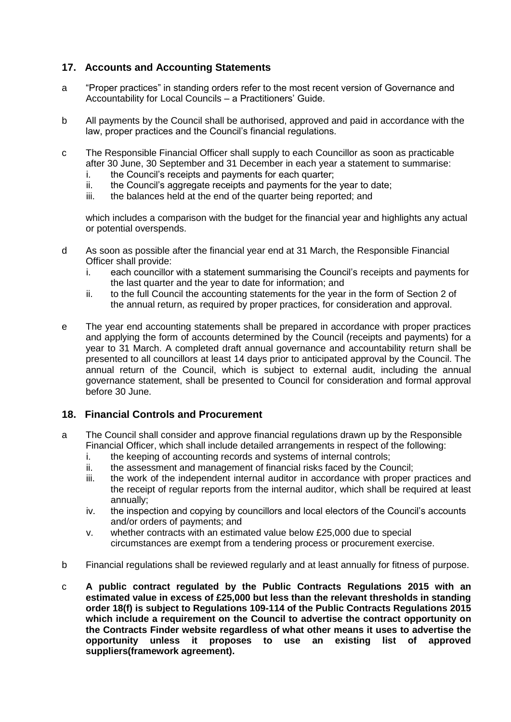# **17. Accounts and Accounting Statements**

- a "Proper practices" in standing orders refer to the most recent version of Governance and Accountability for Local Councils – a Practitioners' Guide.
- b All payments by the Council shall be authorised, approved and paid in accordance with the law, proper practices and the Council's financial regulations.
- c The Responsible Financial Officer shall supply to each Councillor as soon as practicable after 30 June, 30 September and 31 December in each year a statement to summarise:
	- i. the Council's receipts and payments for each quarter;
	- ii. the Council's aggregate receipts and payments for the year to date:
	- iii. the balances held at the end of the quarter being reported; and

which includes a comparison with the budget for the financial year and highlights any actual or potential overspends.

- d As soon as possible after the financial year end at 31 March, the Responsible Financial Officer shall provide:
	- i. each councillor with a statement summarising the Council's receipts and payments for the last quarter and the year to date for information; and
	- ii. to the full Council the accounting statements for the year in the form of Section 2 of the annual return, as required by proper practices, for consideration and approval.
- e The year end accounting statements shall be prepared in accordance with proper practices and applying the form of accounts determined by the Council (receipts and payments) for a year to 31 March. A completed draft annual governance and accountability return shall be presented to all councillors at least 14 days prior to anticipated approval by the Council. The annual return of the Council, which is subject to external audit, including the annual governance statement, shall be presented to Council for consideration and formal approval before 30 June.

## **18. Financial Controls and Procurement**

- a The Council shall consider and approve financial regulations drawn up by the Responsible Financial Officer, which shall include detailed arrangements in respect of the following:
	- i. the keeping of accounting records and systems of internal controls;
	- ii. the assessment and management of financial risks faced by the Council;
	- iii. the work of the independent internal auditor in accordance with proper practices and the receipt of regular reports from the internal auditor, which shall be required at least annually;
	- iv. the inspection and copying by councillors and local electors of the Council's accounts and/or orders of payments; and
	- v. whether contracts with an estimated value below £25,000 due to special circumstances are exempt from a tendering process or procurement exercise.
- b Financial regulations shall be reviewed regularly and at least annually for fitness of purpose.
- c **A public contract regulated by the Public Contracts Regulations 2015 with an estimated value in excess of £25,000 but less than the relevant thresholds in standing order 18(f) is subject to Regulations 109-114 of the Public Contracts Regulations 2015 which include a requirement on the Council to advertise the contract opportunity on the Contracts Finder website regardless of what other means it uses to advertise the opportunity unless it proposes to use an existing list of approved suppliers(framework agreement).**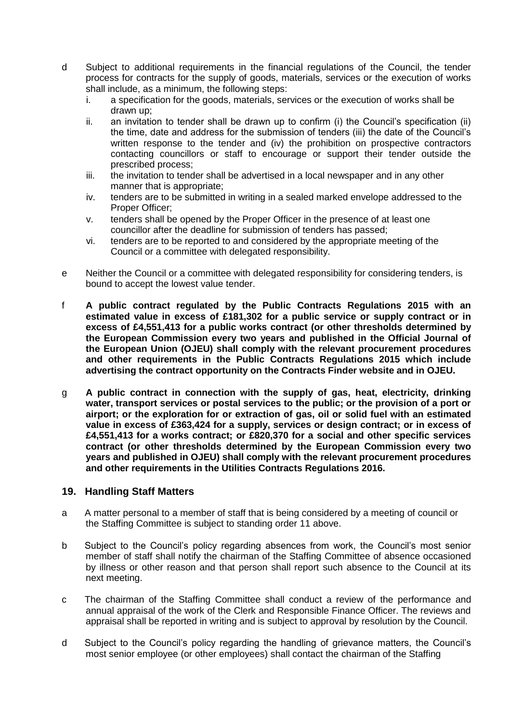- d Subject to additional requirements in the financial regulations of the Council, the tender process for contracts for the supply of goods, materials, services or the execution of works shall include, as a minimum, the following steps:
	- i. a specification for the goods, materials, services or the execution of works shall be drawn up;
	- ii. an invitation to tender shall be drawn up to confirm (i) the Council's specification (ii) the time, date and address for the submission of tenders (iii) the date of the Council's written response to the tender and (iv) the prohibition on prospective contractors contacting councillors or staff to encourage or support their tender outside the prescribed process;
	- iii. the invitation to tender shall be advertised in a local newspaper and in any other manner that is appropriate;
	- iv. tenders are to be submitted in writing in a sealed marked envelope addressed to the Proper Officer;
	- v. tenders shall be opened by the Proper Officer in the presence of at least one councillor after the deadline for submission of tenders has passed;
	- vi. tenders are to be reported to and considered by the appropriate meeting of the Council or a committee with delegated responsibility.
- e Neither the Council or a committee with delegated responsibility for considering tenders, is bound to accept the lowest value tender.
- f **A public contract regulated by the Public Contracts Regulations 2015 with an estimated value in excess of £181,302 for a public service or supply contract or in excess of £4,551,413 for a public works contract (or other thresholds determined by the European Commission every two years and published in the Official Journal of the European Union (OJEU) shall comply with the relevant procurement procedures and other requirements in the Public Contracts Regulations 2015 which include advertising the contract opportunity on the Contracts Finder website and in OJEU.**
- g **A public contract in connection with the supply of gas, heat, electricity, drinking water, transport services or postal services to the public; or the provision of a port or airport; or the exploration for or extraction of gas, oil or solid fuel with an estimated value in excess of £363,424 for a supply, services or design contract; or in excess of £4,551,413 for a works contract; or £820,370 for a social and other specific services contract (or other thresholds determined by the European Commission every two years and published in OJEU) shall comply with the relevant procurement procedures and other requirements in the Utilities Contracts Regulations 2016.**

#### **19. Handling Staff Matters**

- a A matter personal to a member of staff that is being considered by a meeting of council or the Staffing Committee is subject to standing order 11 above.
- b Subject to the Council's policy regarding absences from work, the Council's most senior member of staff shall notify the chairman of the Staffing Committee of absence occasioned by illness or other reason and that person shall report such absence to the Council at its next meeting.
- c The chairman of the Staffing Committee shall conduct a review of the performance and annual appraisal of the work of the Clerk and Responsible Finance Officer. The reviews and appraisal shall be reported in writing and is subject to approval by resolution by the Council.
- d Subject to the Council's policy regarding the handling of grievance matters, the Council's most senior employee (or other employees) shall contact the chairman of the Staffing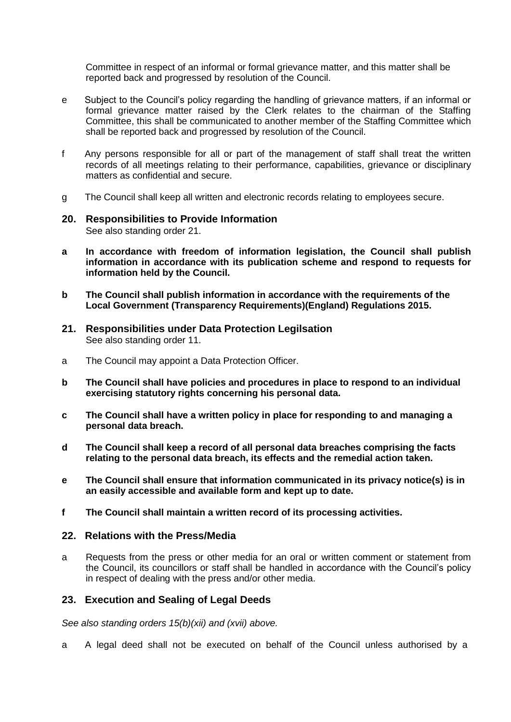Committee in respect of an informal or formal grievance matter, and this matter shall be reported back and progressed by resolution of the Council.

- e Subject to the Council's policy regarding the handling of grievance matters, if an informal or formal grievance matter raised by the Clerk relates to the chairman of the Staffing Committee, this shall be communicated to another member of the Staffing Committee which shall be reported back and progressed by resolution of the Council.
- f Any persons responsible for all or part of the management of staff shall treat the written records of all meetings relating to their performance, capabilities, grievance or disciplinary matters as confidential and secure.
- g The Council shall keep all written and electronic records relating to employees secure.

#### **20. Responsibilities to Provide Information** See also standing order 21.

- **a In accordance with freedom of information legislation, the Council shall publish information in accordance with its publication scheme and respond to requests for information held by the Council.**
- **b The Council shall publish information in accordance with the requirements of the Local Government (Transparency Requirements)(England) Regulations 2015.**
- **21. Responsibilities under Data Protection Legilsation** See also standing order 11.
- a The Council may appoint a Data Protection Officer.
- **b The Council shall have policies and procedures in place to respond to an individual exercising statutory rights concerning his personal data.**
- **c The Council shall have a written policy in place for responding to and managing a personal data breach.**
- **d The Council shall keep a record of all personal data breaches comprising the facts relating to the personal data breach, its effects and the remedial action taken.**
- **e The Council shall ensure that information communicated in its privacy notice(s) is in an easily accessible and available form and kept up to date.**
- **f The Council shall maintain a written record of its processing activities.**

#### **22. Relations with the Press/Media**

a Requests from the press or other media for an oral or written comment or statement from the Council, its councillors or staff shall be handled in accordance with the Council's policy in respect of dealing with the press and/or other media.

#### **23. Execution and Sealing of Legal Deeds**

*See also standing orders 15(b)(xii) and (xvii) above.*

a A legal deed shall not be executed on behalf of the Council unless authorised by a